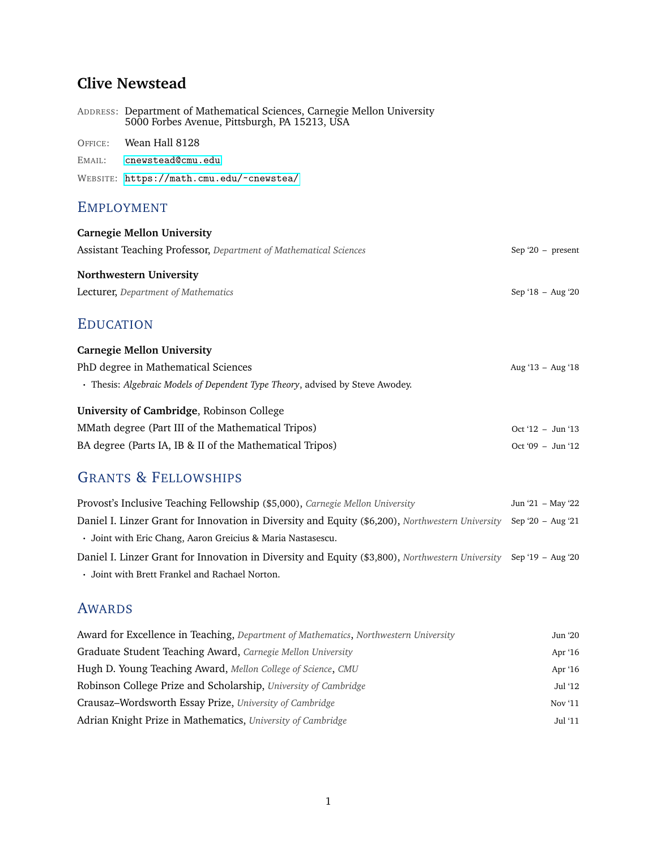## **Clive Newstead**

|                   | ADDRESS: Department of Mathematical Sciences, Carnegie Mellon University<br>5000 Forbes Avenue, Pittsburgh, PA 15213, USA |  |
|-------------------|---------------------------------------------------------------------------------------------------------------------------|--|
|                   | OFFICE: Wean Hall 8128                                                                                                    |  |
|                   | EMAIL: cnewstead@cmu.edu                                                                                                  |  |
|                   | WEBSITE: https://math.cmu.edu/~cnewstea/                                                                                  |  |
| <b>EMPLOYMENT</b> |                                                                                                                           |  |

# **Carnegie Mellon University** Assistant Teaching Professor, *Department of Mathematical Sciences* Sep '20 - present **Northwestern University** Lecturer, *Department of Mathematics* Sep '18 – Aug '20

#### EDUCATION

| <b>Carnegie Mellon University</b>                                             |                     |
|-------------------------------------------------------------------------------|---------------------|
| PhD degree in Mathematical Sciences                                           | Aug '13 – Aug '18   |
| • Thesis: Algebraic Models of Dependent Type Theory, advised by Steve Awodey. |                     |
| University of Cambridge, Robinson College                                     |                     |
| MMath degree (Part III of the Mathematical Tripos)                            | $Oct '12 - Jun '13$ |
| BA degree (Parts IA, IB & II of the Mathematical Tripos)                      | $Oct '09 - Jun '12$ |

### GRANTS & FELLOWSHIPS

| Provost's Inclusive Teaching Fellowship (\$5,000), Carnegie Mellon University                                      | Jun '21 – May '22 |
|--------------------------------------------------------------------------------------------------------------------|-------------------|
| Daniel I. Linzer Grant for Innovation in Diversity and Equity (\$6,200), Northwestern University Sep '20 - Aug '21 |                   |
| • Joint with Eric Chang, Aaron Greicius & Maria Nastasescu.                                                        |                   |
| Daniel I. Linzer Grant for Innovation in Diversity and Equity (\$3,800), Northwestern University Sep '19 – Aug '20 |                   |
| • Joint with Brett Frankel and Rachael Norton.                                                                     |                   |

#### AWARDS

| Award for Excellence in Teaching, Department of Mathematics, Northwestern University | Jun '20 |
|--------------------------------------------------------------------------------------|---------|
| Graduate Student Teaching Award, Carnegie Mellon University                          | Apr '16 |
| Hugh D. Young Teaching Award, Mellon College of Science, CMU                         | Apr '16 |
| Robinson College Prize and Scholarship, University of Cambridge                      | Jul '12 |
| Crausaz–Wordsworth Essay Prize, University of Cambridge                              | Nov '11 |
| Adrian Knight Prize in Mathematics, University of Cambridge                          | Jul '11 |
|                                                                                      |         |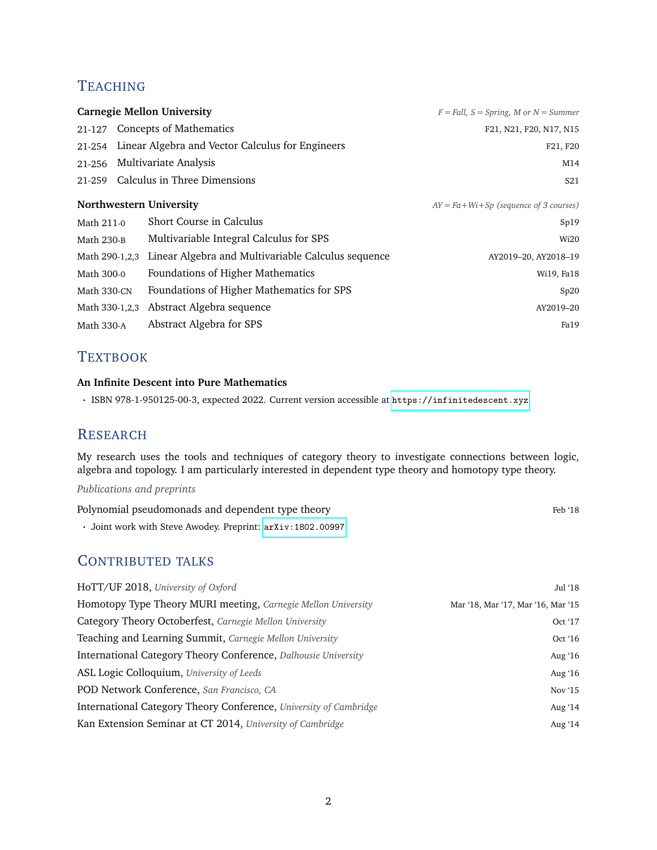## **TEACHING**

|                |                              | <b>Carnegie Mellon University</b>                  | $F = Fall, S = Spring, M$ or $N = Summer$   |
|----------------|------------------------------|----------------------------------------------------|---------------------------------------------|
| 21-127         |                              | <b>Concepts of Mathematics</b>                     | F21, N21, F20, N17, N15                     |
| 21-254         |                              | Linear Algebra and Vector Calculus for Engineers   | F21, F20                                    |
| 21-256         |                              | Multivariate Analysis                              | M14                                         |
| 21-259         | Calculus in Three Dimensions |                                                    | S <sub>21</sub>                             |
|                |                              | Northwestern University                            | $AY = Fa + Wi + Sp$ (sequence of 3 courses) |
| Math 211-0     |                              | Short Course in Calculus                           | Sp19                                        |
| Math 230-B     |                              | Multivariable Integral Calculus for SPS            | Wi20                                        |
| Math 290-1,2,3 |                              | Linear Algebra and Multivariable Calculus sequence | AY2019-20, AY2018-19                        |
| Math 300-0     |                              | Foundations of Higher Mathematics                  | Wi19, Fa18                                  |
| Math 330-CN    |                              | Foundations of Higher Mathematics for SPS          | Sp20                                        |
| Math 330-1,2,3 |                              | Abstract Algebra sequence                          | AY2019-20                                   |
| Math 330-A     |                              | Abstract Algebra for SPS                           | Fa19                                        |

#### **TEXTBOOK**

#### **An Infinite Descent into Pure Mathematics**

· ISBN 978-1-950125-00-3, expected 2022. Current version accessible at <https://infinitedescent.xyz>.

#### **RESEARCH**

My research uses the tools and techniques of category theory to investigate connections between logic, algebra and topology. I am particularly interested in dependent type theory and homotopy type theory.

*Publications and preprints*

| Polynomial pseudomonads and dependent type theory | Feb '18 |
|---------------------------------------------------|---------|
|                                                   |         |

· Joint work with Steve Awodey. Preprint: [arXiv:1802.00997](https://arxiv.org/abs/1802.00997)

#### CONTRIBUTED TALKS

| HoTT/UF 2018, University of Oxford                                | Jul '18                            |
|-------------------------------------------------------------------|------------------------------------|
| Homotopy Type Theory MURI meeting, Carnegie Mellon University     | Mar '18, Mar '17, Mar '16, Mar '15 |
| Category Theory Octoberfest, Carnegie Mellon University           | Oct $17$                           |
| Teaching and Learning Summit, Carnegie Mellon University          | Oct $16$                           |
| International Category Theory Conference, Dalhousie University    | Aug $'16$                          |
| ASL Logic Colloquium, University of Leeds                         | Aug $'16$                          |
| POD Network Conference, San Francisco, CA                         | Nov $15$                           |
| International Category Theory Conference, University of Cambridge | Aug $'14$                          |
| Kan Extension Seminar at CT 2014, University of Cambridge         | Aug $'14$                          |